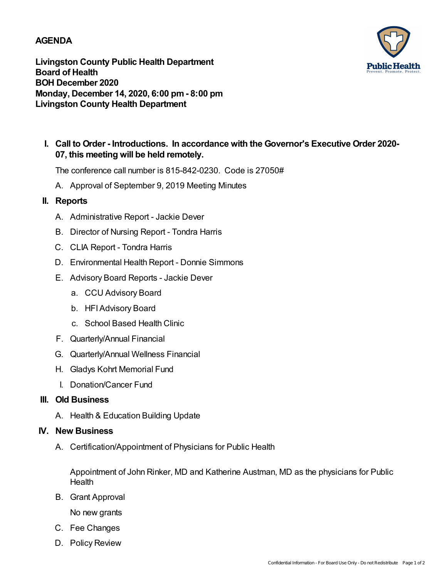### **AGENDA**

**Public Health** 

**Livingston County Public Health Department Board of Health BOH December 2020 Monday, December 14, 2020, 6:00 pm- 8:00 pm Livingston County Health Department**

## **Call to Order - Introductions. In accordance with the Governor's Executive Order 2020- I. 07, this meeting will be held remotely.**

The conference call number is 815-842-0230. Code is 27050#

A. Approval of September 9, 2019 Meeting Minutes

### **II. Reports**

- A. Administrative Report Jackie Dever
- B. Director of Nursing Report Tondra Harris
- C. CLIA Report Tondra Harris
- D. Environmental Health Report Donnie Simmons
- E. Advisory Board Reports Jackie Dever
	- a. CCU Advisory Board
	- b. HFIAdvisory Board
	- c. School Based Health Clinic
- F. Quarterly/Annual Financial
- G. Quarterly/Annual Wellness Financial
- H. Gladys Kohrt Memorial Fund
- I. Donation/Cancer Fund

#### **III. Old Business**

A. Health & Education Building Update

#### **IV. New Business**

A. Certification/Appointment of Physicians for Public Health

Appointment of John Rinker, MD and Katherine Austman, MD as the physicians for Public **Health** 

B. Grant Approval

No new grants

- C. Fee Changes
- D. Policy Review